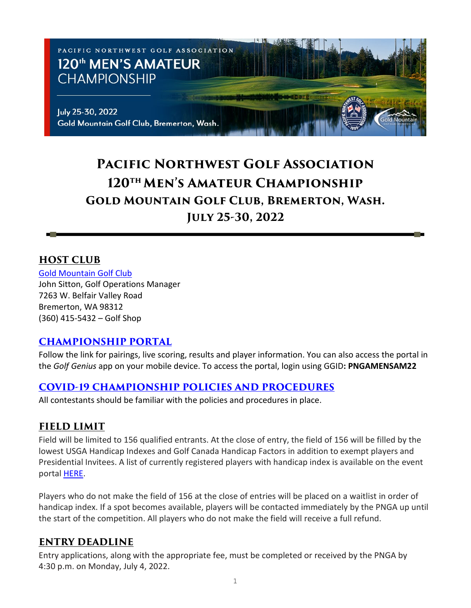

# **Pacific Northwest Golf Association 120thMen's Amateur Championship Gold Mountain Golf Club, Bremerton, Wash. July 25-30, 2022**

#### **HOST CLUB**

[Gold Mountain Golf Club](https://goldmountaingolf.com/) John Sitton, Golf Operations Manager 7263 W. Belfair Valley Road Bremerton, WA 98312 (360) 415-5432 – Golf Shop

#### **[CHAMPIONSHIP PORTAL](https://www.golfgenius.com/pages/8118430228172271113)**

Follow the link for pairings, live scoring, results and player information. You can also access the portal in the *Golf Genius* app on your mobile device. To access the portal, login using GGID**: PNGAMENSAM22**

#### **[COVID-19 CHAMPIONSHIP POLICIES AND PROCEDURES](https://www.golfgenius.com/pages/8118430235587800593)**

All contestants should be familiar with the policies and procedures in place.

#### **FIELD LIMIT**

Field will be limited to 156 qualified entrants. At the close of entry, the field of 156 will be filled by the lowest USGA Handicap Indexes and Golf Canada Handicap Factors in addition to exempt players and Presidential Invitees. A list of currently registered players with handicap index is available on the event portal [HERE.](https://www.golfgenius.com/pages/8240191967468744356)

Players who do not make the field of 156 at the close of entries will be placed on a waitlist in order of handicap index. If a spot becomes available, players will be contacted immediately by the PNGA up until the start of the competition. All players who do not make the field will receive a full refund.

#### **ENTRY DEADLINE**

Entry applications, along with the appropriate fee, must be completed or received by the PNGA by 4:30 p.m. on Monday, July 4, 2022.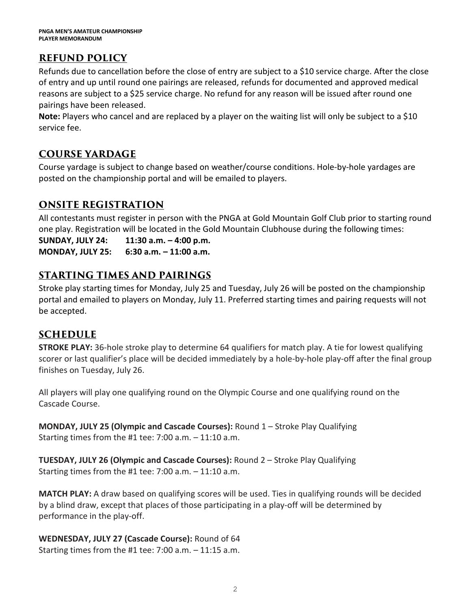# **REFUND POLICY**

Refunds due to cancellation before the close of entry are subject to a \$10 service charge. After the close of entry and up until round one pairings are released, refunds for documented and approved medical reasons are subject to a \$25 service charge. No refund for any reason will be issued after round one pairings have been released.

**Note:** Players who cancel and are replaced by a player on the waiting list will only be subject to a \$10 service fee.

## **COURSE YARDAGE**

Course yardage is subject to change based on weather/course conditions. Hole-by-hole yardages are posted on the championship portal and will be emailed to players.

# **ONSITE REGISTRATION**

All contestants must register in person with the PNGA at Gold Mountain Golf Club prior to starting round one play. Registration will be located in the Gold Mountain Clubhouse during the following times:

**SUNDAY, JULY 24: 11:30 a.m. – 4:00 p.m. MONDAY, JULY 25: 6:30 a.m. – 11:00 a.m.** 

# **STARTING TIMES AND PAIRINGS**

Stroke play starting times for Monday, July 25 and Tuesday, July 26 will be posted on the championship portal and emailed to players on Monday, July 11. Preferred starting times and pairing requests will not be accepted.

## **SCHEDULE**

**STROKE PLAY:** 36-hole stroke play to determine 64 qualifiers for match play. A tie for lowest qualifying scorer or last qualifier's place will be decided immediately by a hole-by-hole play-off after the final group finishes on Tuesday, July 26.

All players will play one qualifying round on the Olympic Course and one qualifying round on the Cascade Course.

**MONDAY, JULY 25 (Olympic and Cascade Courses):** Round 1 – Stroke Play Qualifying Starting times from the #1 tee: 7:00 a.m. – 11:10 a.m.

**TUESDAY, JULY 26 (Olympic and Cascade Courses):** Round 2 – Stroke Play Qualifying Starting times from the #1 tee: 7:00 a.m. – 11:10 a.m.

**MATCH PLAY:** A draw based on qualifying scores will be used. Ties in qualifying rounds will be decided by a blind draw, except that places of those participating in a play-off will be determined by performance in the play-off.

**WEDNESDAY, JULY 27 (Cascade Course):** Round of 64 Starting times from the #1 tee: 7:00 a.m. – 11:15 a.m.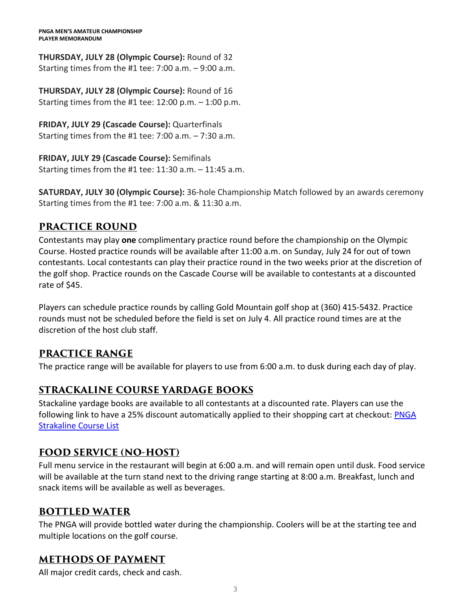**THURSDAY, JULY 28 (Olympic Course):** Round of 32 Starting times from the #1 tee: 7:00 a.m. – 9:00 a.m.

**THURSDAY, JULY 28 (Olympic Course):** Round of 16 Starting times from the #1 tee:  $12:00$  p.m.  $- 1:00$  p.m.

**FRIDAY, JULY 29 (Cascade Course):** Quarterfinals Starting times from the #1 tee: 7:00 a.m. – 7:30 a.m.

**FRIDAY, JULY 29 (Cascade Course):** Semifinals Starting times from the #1 tee: 11:30 a.m. – 11:45 a.m.

**SATURDAY, JULY 30 (Olympic Course):** 36-hole Championship Match followed by an awards ceremony Starting times from the #1 tee: 7:00 a.m. & 11:30 a.m.

# **PRACTICE ROUND**

Contestants may play **one** complimentary practice round before the championship on the Olympic Course. Hosted practice rounds will be available after 11:00 a.m. on Sunday, July 24 for out of town contestants. Local contestants can play their practice round in the two weeks prior at the discretion of the golf shop. Practice rounds on the Cascade Course will be available to contestants at a discounted rate of \$45.

Players can schedule practice rounds by calling Gold Mountain golf shop at (360) 415-5432. Practice rounds must not be scheduled before the field is set on July 4. All practice round times are at the discretion of the host club staff.

# **PRACTICE RANGE**

The practice range will be available for players to use from 6:00 a.m. to dusk during each day of play.

## **STRACKALINE COURSE YARDAGE BOOKS**

Stackaline yardage books are available to all contestants at a discounted rate. Players can use the following link to have a 25% discount automatically applied to their shopping cart at checkout[: PNGA](http://strackaline.com/events/5803/info/?aff=PNGA)  [Strakaline Course List](http://strackaline.com/events/5803/info/?aff=PNGA)

# **FOOD SERVICE (NO-HOST)**

Full menu service in the restaurant will begin at 6:00 a.m. and will remain open until dusk. Food service will be available at the turn stand next to the driving range starting at 8:00 a.m. Breakfast, lunch and snack items will be available as well as beverages.

## **BOTTLED WATER**

The PNGA will provide bottled water during the championship. Coolers will be at the starting tee and multiple locations on the golf course.

# **METHODS OF PAYMENT**

All major credit cards, check and cash.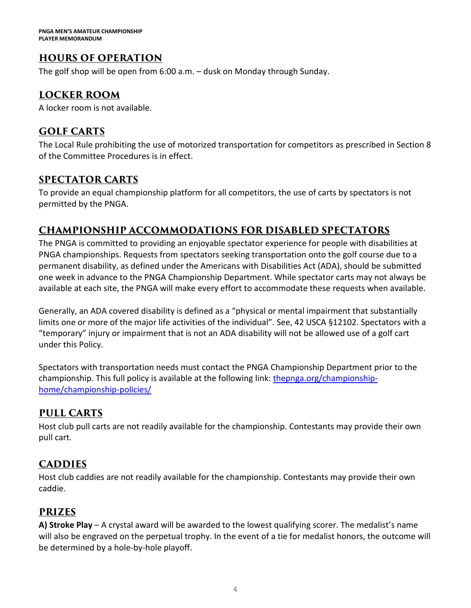# **HOURS OF OPERATION**

The golf shop will be open from 6:00 a.m. – dusk on Monday through Sunday.

#### **LOCKER ROOM**

A locker room is not available.

#### **GOLF CARTS**

The Local Rule prohibiting the use of motorized transportation for competitors as prescribed in Section 8 of the Committee Procedures is in effect.

#### **SPECTATOR CARTS**

To provide an equal championship platform for all competitors, the use of carts by spectators is not permitted by the PNGA.

## **CHAMPIONSHIP ACCOMMODATIONS FOR DISABLED SPECTATORS**

The PNGA is committed to providing an enjoyable spectator experience for people with disabilities at PNGA championships. Requests from spectators seeking transportation onto the golf course due to a permanent disability, as defined under the Americans with Disabilities Act (ADA), should be submitted one week in advance to the PNGA Championship Department. While spectator carts may not always be available at each site, the PNGA will make every effort to accommodate these requests when available.

Generally, an ADA covered disability is defined as a "physical or mental impairment that substantially limits one or more of the major life activities of the individual". See, 42 USCA §12102. Spectators with a "temporary" injury or impairment that is not an ADA disability will not be allowed use of a golf cart under this Policy.

Spectators with transportation needs must contact the PNGA Championship Department prior to the championship. This full policy is available at the following link: [thepnga.org/championship](https://thepnga.org/championship-home/championship-policies/)[home/championship-policies/](https://thepnga.org/championship-home/championship-policies/)

## **PULL CARTS**

Host club pull carts are not readily available for the championship. Contestants may provide their own pull cart.

## **CADDIES**

Host club caddies are not readily available for the championship. Contestants may provide their own caddie.

## **PRIZES**

**A) Stroke Play** – A crystal award will be awarded to the lowest qualifying scorer. The medalist's name will also be engraved on the perpetual trophy. In the event of a tie for medalist honors, the outcome will be determined by a hole-by-hole playoff.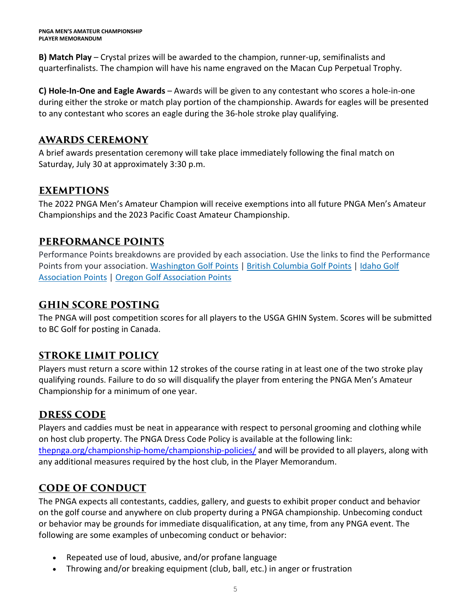**B) Match Play** – Crystal prizes will be awarded to the champion, runner-up, semifinalists and quarterfinalists. The champion will have his name engraved on the Macan Cup Perpetual Trophy.

**C) Hole-In-One and Eagle Awards** – Awards will be given to any contestant who scores a hole-in-one during either the stroke or match play portion of the championship. Awards for eagles will be presented to any contestant who scores an eagle during the 36-hole stroke play qualifying.

#### **AWARDS CEREMONY**

A brief awards presentation ceremony will take place immediately following the final match on Saturday, July 30 at approximately 3:30 p.m.

#### **EXEMPTIONS**

The 2022 PNGA Men's Amateur Champion will receive exemptions into all future PNGA Men's Amateur Championships and the 2023 Pacific Coast Amateur Championship.

## **PERFORMANCE POINTS**

Performance Points breakdowns are provided by each association. Use the links to find the Performance Points from your association. [Washington](https://wagolf.org/play/performance-points-list/) Golf Points | British [Columbia](http://britishcolumbiagolf.org/performance/orders-of-merit) Golf Points | [Idaho](http://theiga.org/championship-home/team-points-standings/) Golf [Association](http://theiga.org/championship-home/team-points-standings/) Points | Oregon Golf [Association](http://oga.org/competitions/points-lists) Points

#### **GHIN SCORE POSTING**

The PNGA will post competition scores for all players to the USGA GHIN System. Scores will be submitted to BC Golf for posting in Canada.

## **STROKE LIMIT POLICY**

Players must return a score within 12 strokes of the course rating in at least one of the two stroke play qualifying rounds. Failure to do so will disqualify the player from entering the PNGA Men's Amateur Championship for a minimum of one year.

## **DRESS CODE**

Players and caddies must be neat in appearance with respect to personal grooming and clothing while on host club property. The PNGA Dress Code Policy is available at the following link: [thepnga.org/championship-home/championship-policies/](https://thepnga.org/championship-home/championship-policies/) and will be provided to all players, along with any additional measures required by the host club, in the Player Memorandum.

## **CODE OF CONDUCT**

The PNGA expects all contestants, caddies, gallery, and guests to exhibit proper conduct and behavior on the golf course and anywhere on club property during a PNGA championship. Unbecoming conduct or behavior may be grounds for immediate disqualification, at any time, from any PNGA event. The following are some examples of unbecoming conduct or behavior:

- Repeated use of loud, abusive, and/or profane language
- Throwing and/or breaking equipment (club, ball, etc.) in anger or frustration